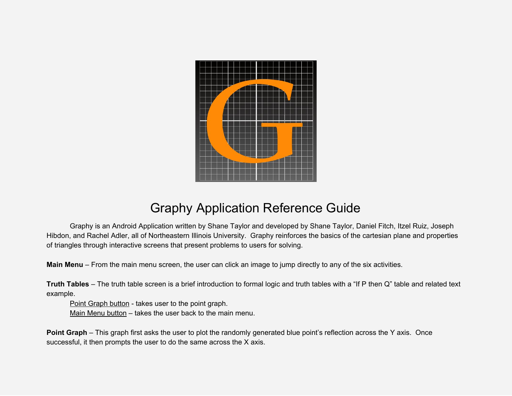

## Graphy Application Reference Guide

Graphy is an Android Application written by Shane Taylor and developed by Shane Taylor, Daniel Fitch, Itzel Ruiz, Joseph Hibdon, and Rachel Adler, all of Northeastern Illinois University. Graphy reinforces the basics of the cartesian plane and properties of triangles through interactive screens that present problems to users for solving.

**Main Menu** – From the main menu screen, the user can click an image to jump directly to any of the six activities.

**Truth Tables** – The truth table screen is a brief introduction to formal logic and truth tables with a "If P then Q" table and related text example.

Point Graph button - takes user to the point graph. Main Menu button – takes the user back to the main menu.

**Point Graph** – This graph first asks the user to plot the randomly generated blue point's reflection across the Y axis. Once successful, it then prompts the user to do the same across the X axis.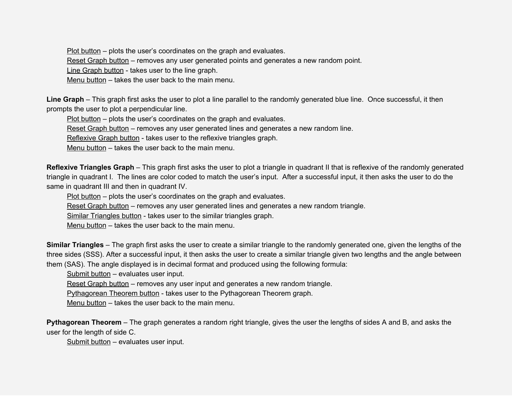Plot button – plots the user's coordinates on the graph and evaluates.

Reset Graph button – removes any user generated points and generates a new random point.

Line Graph button - takes user to the line graph.

Menu button – takes the user back to the main menu.

**Line Graph** – This graph first asks the user to plot a line parallel to the randomly generated blue line. Once successful, it then prompts the user to plot a perpendicular line.

Plot button – plots the user's coordinates on the graph and evaluates.

Reset Graph button – removes any user generated lines and generates a new random line.

Reflexive Graph button - takes user to the reflexive triangles graph.

Menu button – takes the user back to the main menu.

**Reflexive Triangles Graph** – This graph first asks the user to plot a triangle in quadrant II that is reflexive of the randomly generated triangle in quadrant I. The lines are color coded to match the user's input. After a successful input, it then asks the user to do the same in quadrant III and then in quadrant IV.

Plot button – plots the user's coordinates on the graph and evaluates.

Reset Graph button – removes any user generated lines and generates a new random triangle.

Similar Triangles button - takes user to the similar triangles graph.

Menu button – takes the user back to the main menu.

**Similar Triangles** – The graph first asks the user to create a similar triangle to the randomly generated one, given the lengths of the three sides (SSS). After a successful input, it then asks the user to create a similar triangle given two lengths and the angle between them (SAS). The angle displayed is in decimal format and produced using the following formula:

Submit button – evaluates user input.

Reset Graph button – removes any user input and generates a new random triangle.

Pythagorean Theorem button - takes user to the Pythagorean Theorem graph.

Menu button – takes the user back to the main menu.

**Pythagorean Theorem** – The graph generates a random right triangle, gives the user the lengths of sides A and B, and asks the user for the length of side C.

Submit button – evaluates user input.